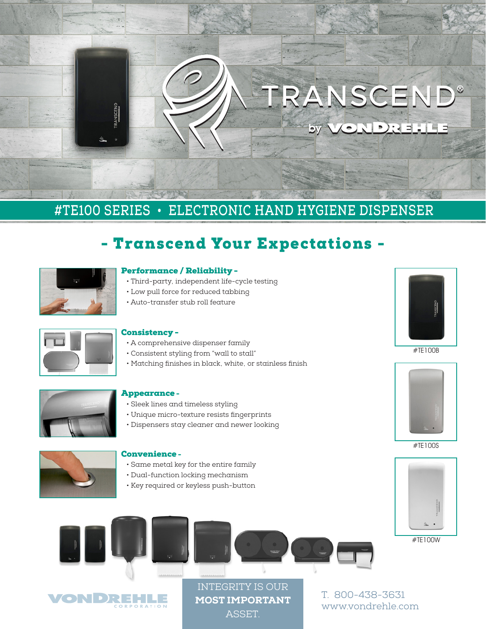## TRANSCEND® **ONDREHLE** by

## **#TE100 SERIES • ELECTRONIC HAND HYGIENE DISPENSER**

## - Transcend Your Expectations -



#### Performance / Reliability -

- Third-party, independent life-cycle testing
- Low pull force for reduced tabbing
- Auto-transfer stub roll feature



#### Consistency -

- A comprehensive dispenser family
- Consistent styling from "wall to stall"
- Matching finishes in black, white, or stainless finish



#### Appearance -

- Sleek lines and timeless styling
- Unique micro-texture resists fingerprints
- Dispensers stay cleaner and newer looking



#### Convenience -

- Same metal key for the entire family
- Dual-function locking mechanism
- Key required or keyless push-button





#TE100B



#TE100S



#TE100W



INTEGRITY IS OUR MOST IMPORTANT **ASSET** 

T. 800-438-3631 www.vondrehle.com